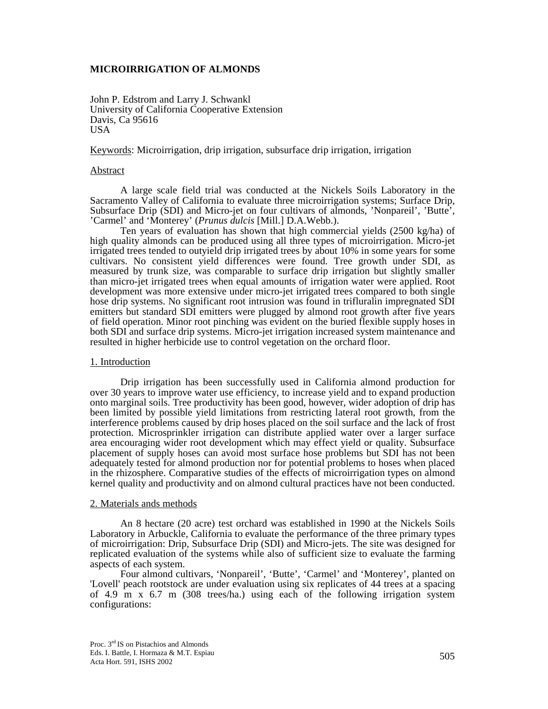# **MICROIRRIGATION OF ALMONDS**

John P. Edstrom and Larry J. Schwankl University of California Cooperative Extension Davis, Ca 95616 USA

Keywords: Microirrigation, drip irrigation, subsurface drip irrigation, irrigation

## Abstract

A large scale field trial was conducted at the Nickels Soils Laboratory in the Sacramento Valley of California to evaluate three microirrigation systems; Surface Drip, Subsurface Drip (SDI) and Micro-jet on four cultivars of almonds, 'Nonpareil', 'Butte', 'Carmel' and 'Monterey' (*Prunus dulcis* [Mill.] D.A.Webb.).

Ten years of evaluation has shown that high commercial yields (2500 kg/ha) of high quality almonds can be produced using all three types of microirrigation. Micro-jet irrigated trees tended to outyield drip irrigated trees by about 10% in some years for some cultivars. No consistent yield differences were found. Tree growth under SDI, as measured by trunk size, was comparable to surface drip irrigation but slightly smaller than micro-jet irrigated trees when equal amounts of irrigation water were applied. Root development was more extensive under micro-jet irrigated trees compared to both single hose drip systems. No significant root intrusion was found in trifluralin impregnated SDI emitters but standard SDI emitters were plugged by almond root growth after five years of field operation. Minor root pinching was evident on the buried flexible supply hoses in both SDI and surface drip systems. Micro-jet irrigation increased system maintenance and resulted in higher herbicide use to control vegetation on the orchard floor.

#### 1. Introduction

Drip irrigation has been successfully used in California almond production for over 30 years to improve water use efficiency, to increase yield and to expand production onto marginal soils. Tree productivity has been good, however, wider adoption of drip has been limited by possible yield limitations from restricting lateral root growth, from the interference problems caused by drip hoses placed on the soil surface and the lack of frost protection. Microsprinkler irrigation can distribute applied water over a larger surface area encouraging wider root development which may effect yield or quality. Subsurface placement of supply hoses can avoid most surface hose problems but SDI has not been adequately tested for almond production nor for potential problems to hoses when placed in the rhizosphere. Comparative studies of the effects of microirrigation types on almond kernel quality and productivity and on almond cultural practices have not been conducted.

## 2. Materials ands methods

An 8 hectare (20 acre) test orchard was established in 1990 at the Nickels Soils Laboratory in Arbuckle, California to evaluate the performance of the three primary types of microirrigation: Drip, Subsurface Drip (SDI) and Micro-jets. The site was designed for replicated evaluation of the systems while also of sufficient size to evaluate the farming aspects of each system.

Four almond cultivars, 'Nonpareil', 'Butte', 'Carmel' and 'Monterey', planted on 'Lovell' peach rootstock are under evaluation using six replicates of 44 trees at a spacing of 4.9 m x 6.7 m (308 trees/ha.) using each of the following irrigation system configurations: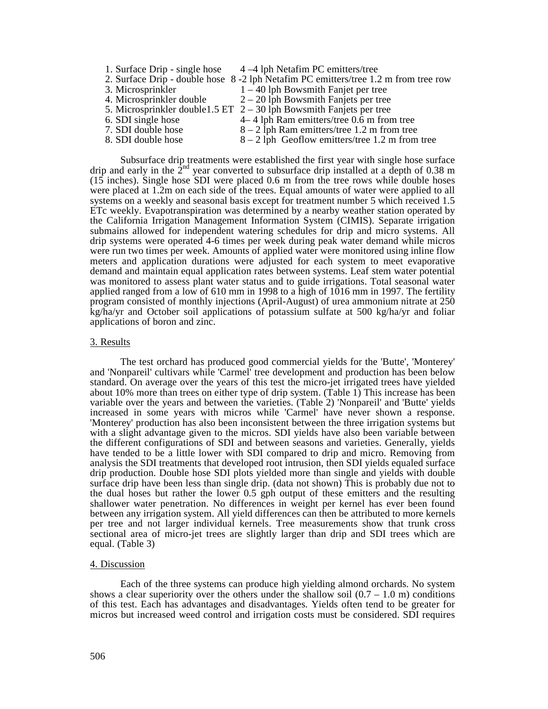1. Surface Drip - single hose  $4 - 4$  lph Netafim PC emitters/tree 2. Surface Drip - double hose 8 -2 lph Netafim PC emitters/tree 1.2 m from tree row 3. Microsprinkler  $1 - 40$  lph Bowsmith Fanjet per tree 4. Microsprinkler double  $2 - 20$  lph Bowsmith Fanjets per tree 5. Microsprinkler double1.5 ET  $2 - 30$  lph Bowsmith Fanjets per tree 6. SDI single hose 4– 4 lph Ram emitters/tree 0.6 m from tree 7. SDI double hose  $8 - 2$  lph Ram emitters/tree 1.2 m from tree 8. SDI double hose  $8 - 2$  lph Geoflow emitters/tree 1.2 m from  $8 - 2$  lph Geoflow emitters/tree 1.2 m from tree

Subsurface drip treatments were established the first year with single hose surface drip and early in the 2<sup>nd</sup> year converted to subsurface drip installed at a depth of 0.38 m  $(15$  inches). Single hose SDI were placed 0.6 m from the tree rows while double hoses were placed at 1.2m on each side of the trees. Equal amounts of water were applied to all systems on a weekly and seasonal basis except for treatment number 5 which received 1.5 ETc weekly. Evapotranspiration was determined by a nearby weather station operated by the California Irrigation Management Information System (CIMIS). Separate irrigation submains allowed for independent watering schedules for drip and micro systems. All drip systems were operated 4-6 times per week during peak water demand while micros were run two times per week. Amounts of applied water were monitored using inline flow meters and application durations were adjusted for each system to meet evaporative demand and maintain equal application rates between systems. Leaf stem water potential was monitored to assess plant water status and to guide irrigations. Total seasonal water applied ranged from a low of 610 mm in 1998 to a high of 1016 mm in 1997. The fertility program consisted of monthly injections (April-August) of urea ammonium nitrate at 250 kg/ha/yr and October soil applications of potassium sulfate at 500 kg/ha/yr and foliar applications of boron and zinc.

## 3. Results

 The test orchard has produced good commercial yields for the 'Butte', 'Monterey' and 'Nonpareil' cultivars while 'Carmel' tree development and production has been below standard. On average over the years of this test the micro-jet irrigated trees have yielded about 10% more than trees on either type of drip system. (Table 1) This increase has been variable over the years and between the varieties. (Table 2) 'Nonpareil' and 'Butte' yields increased in some years with micros while 'Carmel' have never shown a response. 'Monterey' production has also been inconsistent between the three irrigation systems but with a slight advantage given to the micros. SDI yields have also been variable between the different configurations of SDI and between seasons and varieties. Generally, yields have tended to be a little lower with SDI compared to drip and micro. Removing from analysis the SDI treatments that developed root intrusion, then SDI yields equaled surface drip production. Double hose SDI plots yielded more than single and yields with double surface drip have been less than single drip. (data not shown) This is probably due not to the dual hoses but rather the lower 0.5 gph output of these emitters and the resulting shallower water penetration. No differences in weight per kernel has ever been found between any irrigation system. All yield differences can then be attributed to more kernels per tree and not larger individual kernels. Tree measurements show that trunk cross sectional area of micro-jet trees are slightly larger than drip and SDI trees which are equal. (Table 3)

### 4. Discussion

Each of the three systems can produce high yielding almond orchards. No system shows a clear superiority over the others under the shallow soil  $(0.7 - 1.0 \text{ m})$  conditions of this test. Each has advantages and disadvantages. Yields often tend to be greater for micros but increased weed control and irrigation costs must be considered. SDI requires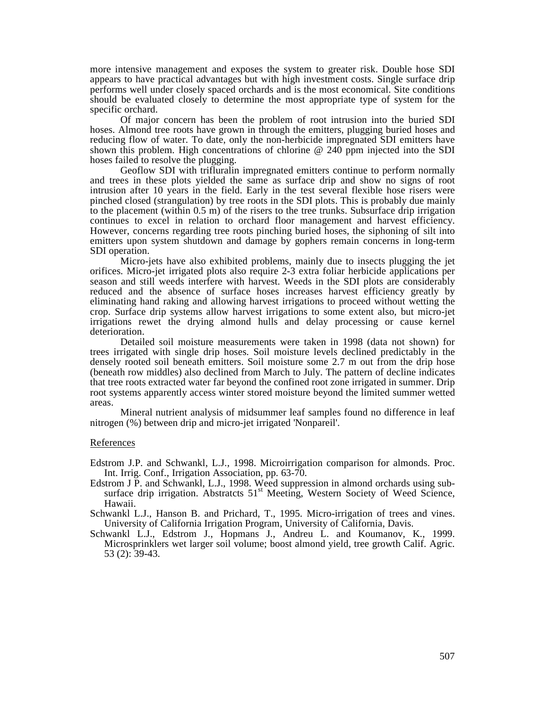more intensive management and exposes the system to greater risk. Double hose SDI appears to have practical advantages but with high investment costs. Single surface drip performs well under closely spaced orchards and is the most economical. Site conditions should be evaluated closely to determine the most appropriate type of system for the specific orchard.

Of major concern has been the problem of root intrusion into the buried SDI hoses. Almond tree roots have grown in through the emitters, plugging buried hoses and reducing flow of water. To date, only the non-herbicide impregnated SDI emitters have shown this problem. High concentrations of chlorine @ 240 ppm injected into the SDI hoses failed to resolve the plugging.

Geoflow SDI with trifluralin impregnated emitters continue to perform normally and trees in these plots yielded the same as surface drip and show no signs of root intrusion after 10 years in the field. Early in the test several flexible hose risers were pinched closed (strangulation) by tree roots in the SDI plots. This is probably due mainly to the placement (within 0.5 m) of the risers to the tree trunks. Subsurface drip irrigation continues to excel in relation to orchard floor management and harvest efficiency. However, concerns regarding tree roots pinching buried hoses, the siphoning of silt into emitters upon system shutdown and damage by gophers remain concerns in long-term SDI operation.

 Micro-jets have also exhibited problems, mainly due to insects plugging the jet orifices. Micro-jet irrigated plots also require 2-3 extra foliar herbicide applications per season and still weeds interfere with harvest. Weeds in the SDI plots are considerably reduced and the absence of surface hoses increases harvest efficiency greatly by eliminating hand raking and allowing harvest irrigations to proceed without wetting the crop. Surface drip systems allow harvest irrigations to some extent also, but micro-jet irrigations rewet the drying almond hulls and delay processing or cause kernel deterioration.

 Detailed soil moisture measurements were taken in 1998 (data not shown) for trees irrigated with single drip hoses. Soil moisture levels declined predictably in the densely rooted soil beneath emitters. Soil moisture some 2.7 m out from the drip hose (beneath row middles) also declined from March to July. The pattern of decline indicates that tree roots extracted water far beyond the confined root zone irrigated in summer. Drip root systems apparently access winter stored moisture beyond the limited summer wetted areas.

 Mineral nutrient analysis of midsummer leaf samples found no difference in leaf nitrogen (%) between drip and micro-jet irrigated 'Nonpareil'.

## References

Edstrom J.P. and Schwankl, L.J., 1998. Microirrigation comparison for almonds. Proc. Int. Irrig. Conf., Irrigation Association, pp. 63-70.

Edstrom J P. and Schwankl, L.J., 1998. Weed suppression in almond orchards using subsurface drip irrigation. Abstratcts  $51<sup>st</sup>$  Meeting, Western Society of Weed Science, Hawaii.

Schwankl L.J., Hanson B. and Prichard, T., 1995. Micro-irrigation of trees and vines. University of California Irrigation Program, University of California, Davis.

Schwankl L.J., Edstrom J., Hopmans J., Andreu L. and Koumanov, K., 1999. Microsprinklers wet larger soil volume; boost almond yield, tree growth Calif. Agric. 53 (2): 39-43.